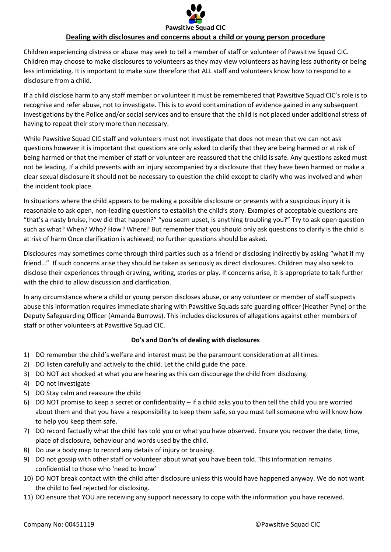

## **Dealing with disclosures and concerns about a child or young person procedure**

Children experiencing distress or abuse may seek to tell a member of staff or volunteer of Pawsitive Squad CIC. Children may choose to make disclosures to volunteers as they may view volunteers as having less authority or being less intimidating. It is important to make sure therefore that ALL staff and volunteers know how to respond to a disclosure from a child.

If a child disclose harm to any staff member or volunteer it must be remembered that Pawsitive Squad CIC's role is to recognise and refer abuse, not to investigate. This is to avoid contamination of evidence gained in any subsequent investigations by the Police and/or social services and to ensure that the child is not placed under additional stress of having to repeat their story more than necessary.

While Pawsitive Squad CIC staff and volunteers must not investigate that does not mean that we can not ask questions however it is important that questions are only asked to clarify that they are being harmed or at risk of being harmed or that the member of staff or volunteer are reassured that the child is safe. Any questions asked must not be leading. If a child presents with an injury accompanied by a disclosure that they have been harmed or make a clear sexual disclosure it should not be necessary to question the child except to clarify who was involved and when the incident took place.

In situations where the child appears to be making a possible disclosure or presents with a suspicious injury it is reasonable to ask open, non-leading questions to establish the child's story. Examples of acceptable questions are "that's a nasty bruise, how did that happen?" "you seem upset, is anything troubling you?" Try to ask open question such as what? When? Who? How? Where? But remember that you should only ask questions to clarify is the child is at risk of harm Once clarification is achieved, no further questions should be asked.

Disclosures may sometimes come through third parties such as a friend or disclosing indirectly by asking "what if my friend…" If such concerns arise they should be taken as seriously as direct disclosures. Children may also seek to disclose their experiences through drawing, writing, stories or play. If concerns arise, it is appropriate to talk further with the child to allow discussion and clarification.

In any circumstance where a child or young person discloses abuse, or any volunteer or member of staff suspects abuse this information requires immediate sharing with Pawsitive Squads safe guarding officer (Heather Pyne) or the Deputy Safeguarding Officer (Amanda Burrows). This includes disclosures of allegations against other members of staff or other volunteers at Pawsitive Squad CIC.

## **Do's and Don'ts of dealing with disclosures**

- 1) DO remember the child's welfare and interest must be the paramount consideration at all times.
- 2) DO listen carefully and actively to the child. Let the child guide the pace.
- 3) DO NOT act shocked at what you are hearing as this can discourage the child from disclosing.
- 4) DO not investigate
- 5) DO Stay calm and reassure the child
- 6) DO NOT promise to keep a secret or confidentiality if a child asks you to then tell the child you are worried about them and that you have a responsibility to keep them safe, so you must tell someone who will know how to help you keep them safe.
- 7) DO record factually what the child has told you or what you have observed. Ensure you recover the date, time, place of disclosure, behaviour and words used by the child.
- 8) Do use a body map to record any details of injury or bruising.
- 9) DO not gossip with other staff or volunteer about what you have been told. This information remains confidential to those who 'need to know'
- 10) DO NOT break contact with the child after disclosure unless this would have happened anyway. We do not want the child to feel rejected for disclosing.
- 11) DO ensure that YOU are receiving any support necessary to cope with the information you have received.